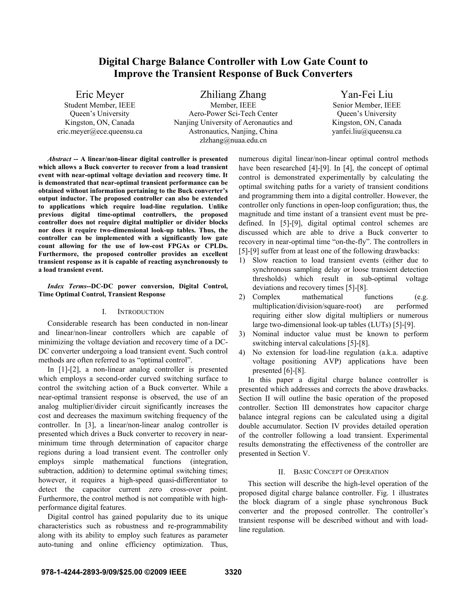# **Digital Charge Balance Controller with Low Gate Count to Improve the Transient Response of Buck Converters**

Eric Meyer Student Member, IEEE Queen's University Kingston, ON, Canada eric.meyer@ece.queensu.ca Zhiliang Zhang

Member, IEEE Aero-Power Sci-Tech Center Nanjing University of Aeronautics and Astronautics, Nanjing, China zlzhang@nuaa.edu.cn

Yan-Fei Liu Senior Member, IEEE Queen's University Kingston, ON, Canada yanfei.liu@queensu.ca

*Abstract* **-- A linear/non-linear digital controller is presented which allows a Buck converter to recover from a load transient event with near-optimal voltage deviation and recovery time. It is demonstrated that near-optimal transient performance can be obtained without information pertaining to the Buck converter's output inductor. The proposed controller can also be extended to applications which require load-line regulation. Unlike previous digital time-optimal controllers, the proposed controller does not require digital multiplier or divider blocks nor does it require two-dimensional look-up tables. Thus, the controller can be implemented with a significantly low gate count allowing for the use of low-cost FPGAs or CPLDs. Furthermore, the proposed controller provides an excellent transient response as it is capable of reacting asynchronously to a load transient event.** 

*Index Terms***--DC-DC power conversion, Digital Control, Time Optimal Control, Transient Response** 

#### I. INTRODUCTION

Considerable research has been conducted in non-linear and linear/non-linear controllers which are capable of minimizing the voltage deviation and recovery time of a DC-DC converter undergoing a load transient event. Such control methods are often referred to as "optimal control".

In [1]-[2], a non-linear analog controller is presented which employs a second-order curved switching surface to control the switching action of a Buck converter. While a near-optimal transient response is observed, the use of an analog multiplier/divider circuit significantly increases the cost and decreases the maximum switching frequency of the controller. In [3], a linear/non-linear analog controller is presented which drives a Buck converter to recovery in nearminimum time through determination of capacitor charge regions during a load transient event. The controller only employs simple mathematical functions (integration, subtraction, addition) to determine optimal switching times; however, it requires a high-speed quasi-differentiator to detect the capacitor current zero cross-over point. Furthermore, the control method is not compatible with highperformance digital features.

Digital control has gained popularity due to its unique characteristics such as robustness and re-programmability along with its ability to employ such features as parameter auto-tuning and online efficiency optimization. Thus,

numerous digital linear/non-linear optimal control methods have been researched [4]-[9]. In [4], the concept of optimal control is demonstrated experimentally by calculating the optimal switching paths for a variety of transient conditions and programming them into a digital controller. However, the controller only functions in open-loop configuration; thus, the magnitude and time instant of a transient event must be predefined. In [5]-[9], digital optimal control schemes are discussed which are able to drive a Buck converter to recovery in near-optimal time "on-the-fly". The controllers in [5]-[9] suffer from at least one of the following drawbacks:

- 1) Slow reaction to load transient events (either due to synchronous sampling delay or loose transient detection thresholds) which result in sub-optimal voltage deviations and recovery times [5]-[8].
- 2) Complex mathematical functions (e.g. multiplication/division/square-root) are performed requiring either slow digital multipliers or numerous large two-dimensional look-up tables (LUTs) [5]-[9].
- 3) Nominal inductor value must be known to perform switching interval calculations [5]-[8].
- 4) No extension for load-line regulation (a.k.a. adaptive voltage positioning AVP) applications have been presented [6]-[8].

In this paper a digital charge balance controller is presented which addresses and corrects the above drawbacks. Section II will outline the basic operation of the proposed controller. Section III demonstrates how capacitor charge balance integral regions can be calculated using a digital double accumulator. Section IV provides detailed operation of the controller following a load transient. Experimental results demonstrating the effectiveness of the controller are presented in Section V.

# II. BASIC CONCEPT OF OPERATION

This section will describe the high-level operation of the proposed digital charge balance controller. Fig. 1 illustrates the block diagram of a single phase synchronous Buck converter and the proposed controller. The controller's transient response will be described without and with loadline regulation.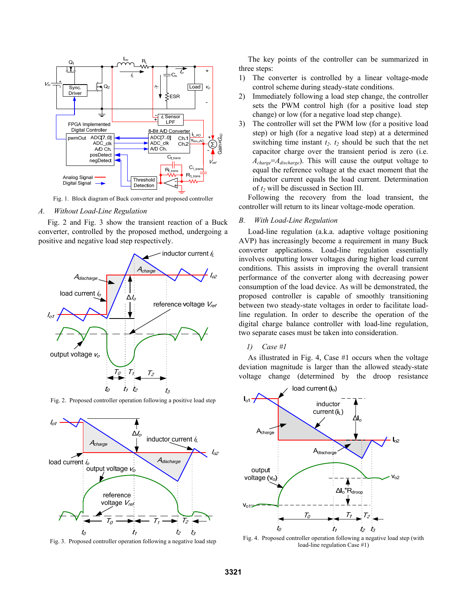

Fig. 1. Block diagram of Buck converter and proposed controller

### *A. Without Load-Line Regulation*

Fig. 2 and Fig. 3 show the transient reaction of a Buck converter, controlled by the proposed method, undergoing a positive and negative load step respectively.



Fig. 2. Proposed controller operation following a positive load step



Fig. 3. Proposed controller operation following a negative load step

The key points of the controller can be summarized in three steps:

- 1) The converter is controlled by a linear voltage-mode control scheme during steady-state conditions.
- 2) Immediately following a load step change, the controller sets the PWM control high (for a positive load step change) or low (for a negative load step change).
- 3) The controller will set the PWM low (for a positive load step) or high (for a negative load step) at a determined switching time instant  $t_2$ .  $t_2$  should be such that the net capacitor charge over the transient period is zero (i.e.  $A_{charge} = A_{discharge}$ ). This will cause the output voltage to equal the reference voltage at the exact moment that the inductor current equals the load current. Determination of *t2* will be discussed in Section III.

Following the recovery from the load transient, the controller will return to its linear voltage-mode operation.

#### *B. With Load-Line Regulation*

Load-line regulation (a.k.a. adaptive voltage positioning AVP) has increasingly become a requirement in many Buck converter applications. Load-line regulation essentially involves outputting lower voltages during higher load current conditions. This assists in improving the overall transient performance of the converter along with decreasing power consumption of the load device. As will be demonstrated, the proposed controller is capable of smoothly transitioning between two steady-state voltages in order to facilitate loadline regulation. In order to describe the operation of the digital charge balance controller with load-line regulation, two separate cases must be taken into consideration.

#### *1) Case #1*

As illustrated in Fig. 4, Case #1 occurs when the voltage deviation magnitude is larger than the allowed steady-state voltage change (determined by the droop resistance



Fig. 4. Proposed controller operation following a negative load step (with load-line regulation Case #1)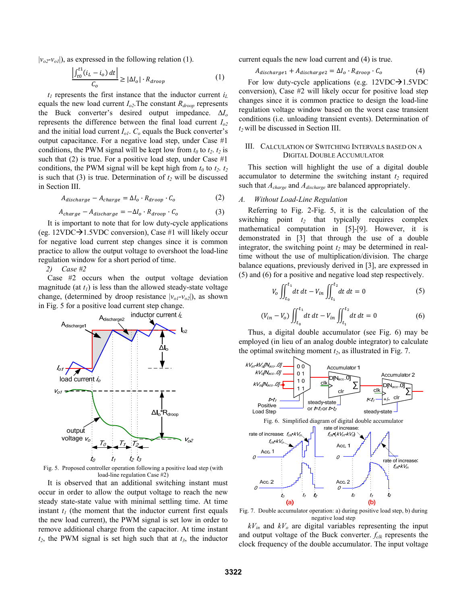$|v_{o2}$ - $v_{ol}|$ ), as expressed in the following relation (1).

$$
\frac{\left| \int_{t0}^{t1} (i_L - i_o) \, dt \right|}{C_o} \ge |\Delta I_o| \cdot R_{drop} \tag{1}
$$

 $t<sub>l</sub>$  represents the first instance that the inductor current  $i<sub>l</sub>$ equals the new load current  $I_{o2}$ . The constant  $R_{\text{droom}}$  represents the Buck converter's desired output impedance.  $\Delta I_o$ represents the difference between the final load current  $I_{o2}$ and the initial load current  $I_{ol}$ .  $C_o$  equals the Buck converter's output capacitance. For a negative load step, under Case #1 conditions, the PWM signal will be kept low from  $t_0$  to  $t_2$ .  $t_2$  is such that (2) is true. For a positive load step, under Case #1 conditions, the PWM signal will be kept high from  $t_0$  to  $t_2$ .  $t_2$ is such that (3) is true. Determination of  $t_2$  will be discussed in Section III.

$$
A_{discharae} - A_{charae} = \Delta I_o \cdot R_{droop} \cdot C_o \tag{2}
$$

$$
A_{charge} - A_{discharge} = -\Delta I_o \cdot R_{dropo} \cdot C_o \tag{3}
$$

It is important to note that for low duty-cycle applications (eg. 12VDC $\rightarrow$ 1.5VDC conversion), Case #1 will likely occur for negative load current step changes since it is common practice to allow the output voltage to overshoot the load-line regulation window for a short period of time.

2) Case #2

Case  $#2$  occurs when the output voltage deviation magnitude (at  $t_l$ ) is less than the allowed steady-state voltage change, (determined by droop resistance  $|v_{oI} - v_{o2}|$ ), as shown in Fig. 5 for a positive load current step change.



Fig. 5. Proposed controller operation following a positive load step (with load-line regulation Case #2)

It is observed that an additional switching instant must occur in order to allow the output voltage to reach the new steady state-state value with minimal settling time. At time instant  $t_1$  (the moment that the inductor current first equals the new load current), the PWM signal is set low in order to remove additional charge from the capacitor. At time instant  $t_2$ , the PWM signal is set high such that at  $t_3$ , the inductor current equals the new load current and (4) is true.

$$
A_{discharge1} + A_{discharge2} = \Delta I_o \cdot R_{drop} \cdot C_o \tag{4}
$$

For low duty-cycle applications (e.g. 12VDC $\rightarrow$ 1.5VDC conversion), Case #2 will likely occur for positive load step changes since it is common practice to design the load-line regulation voltage window based on the worst case transient conditions (i.e. unloading transient events). Determination of  $t_2$  will be discussed in Section III.

# III. CALCULATION OF SWITCHING INTERVALS BASED ON A **DIGITAL DOUBLE ACCUMULATOR**

This section will highlight the use of a digital double accumulator to determine the switching instant  $t_2$  required such that  $A_{charge}$  and  $A_{discharge}$  are balanced appropriately.

#### $A$ . Without Load-Line Regulation

Referring to Fig. 2-Fig. 5, it is the calculation of the switching point  $t_2$  that typically requires complex mathematical computation in [5]-[9]. However, it is demonstrated in [3] that through the use of a double integrator, the switching point  $t_2$  may be determined in realtime without the use of multiplication/division. The charge balance equations, previously derived in [3], are expressed in (5) and (6) for a positive and negative load step respectively.

$$
V_o \iint_{t_0}^{t_1} dt \, dt - V_{in} \iint_{t_1}^{t_2} dt \, dt = 0 \tag{5}
$$

$$
(V_{in} - V_o) \iint_{t_0}^{t_1} dt \, dt - V_{in} \iint_{t_1}^{t_2} dt \, dt = 0 \tag{6}
$$

Thus, a digital double accumulator (see Fig. 6) may be employed (in lieu of an analog double integrator) to calculate the optimal switching moment  $t_2$ , as illustrated in Fig. 7.



Fig. 7. Double accumulator operation: a) during positive load step, b) during negative load step

 $kV_{in}$  and  $kV_o$  are digital variables representing the input and output voltage of the Buck converter.  $f_{\text{clk}}$  represents the clock frequency of the double accumulator. The input voltage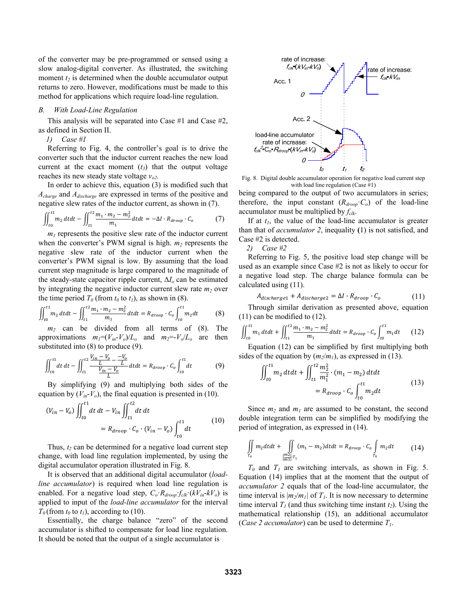of the converter may be pre-programmed or sensed using a slow analog-digital converter. As illustrated, the switching moment  $t_2$  is determined when the double accumulator output returns to zero. However, modifications must be made to this method for applications which require load-line regulation.

#### *B. With Load-Line Regulation*

This analysis will be separated into Case #1 and Case #2, as defined in Section II.

 *1) Case #1* 

Referring to Fig. 4, the controller's goal is to drive the converter such that the inductor current reaches the new load current at the exact moment  $(t_3)$  that the output voltage reaches its new steady state voltage *vo2*.

In order to achieve this, equation (3) is modified such that *Acharge* and *Adischarge* are expressed in terms of the positive and negative slew rates of the inductor current, as shown in (7).

$$
\iint_{t_0}^{t_1} m_2 \, dt dt - \iint_{t_1}^{t_2} \frac{m_1 \cdot m_2 - m_2^2}{m_1} dt dt = -\Delta I \cdot R_{drop} \cdot C_o \tag{7}
$$

 $m_l$  represents the positive slew rate of the inductor current when the converter's PWM signal is high.  $m_2$  represents the negative slew rate of the inductor current when the converter's PWM signal is low. By assuming that the load current step magnitude is large compared to the magnitude of the steady-state capacitor ripple current,  $\Delta I_0$  can be estimated by integrating the negative inductor current slew rate  $m_2$  over the time period  $T_0$  (from  $t_0$  to  $t_1$ ), as shown in (8).

$$
\iint_{t_0}^{t_1} m_2 \, dt \, dt - \iint_{t_1}^{t_2} \frac{m_1 \cdot m_2 - m_2^2}{m_1} \, dt \, dt = R_{\text{drop}} \cdot C_o \int_{t_0}^{t_1} m_2 \, dt \tag{8}
$$

*m2* can be divided from all terms of (8). The approximations  $m_l = (V_{in} - V_o)/L_o$  and  $m_2 = -V_o/L_o$  are then substituted into (8) to produce (9).

$$
\iint_{t0}^{t1} dt \, dt - \iint_{t1}^{t2} \frac{\frac{V_{in} - V_o}{L} - \frac{-V_o}{L}}{\frac{V_{in} - V_o}{L}} dt dt = R_{drop} \cdot C_o \int_{t0}^{t1} dt \tag{9}
$$

By simplifying (9) and multiplying both sides of the equation by  $(V_{in} - V_o)$ , the final equation is presented in (10).

$$
(V_{in} - V_o) \iint_{t_0}^{t_1} dt \, dt - V_{in} \iint_{t_1}^{t_2} dt \, dt
$$
  
=  $R_{drop} \cdot C_o \cdot (V_{in} - V_o) \int_{t_0}^{t_1} dt$  (10)

Thus,  $t_2$  can be determined for a negative load current step change, with load line regulation implemented, by using the digital accumulator operation illustrated in Fig. 8.

It is observed that an additional digital accumulator (*loadline accumulator*) is required when load line regulation is enabled. For a negative load step,  $C_o$   $R_{drop}$   $f_{clk}$   $(kV_{in}$  $kV_o)$  is applied to input of the *load-line accumulator* for the interval  $T_0$  (from  $t_0$  to  $t_1$ ), according to (10).

Essentially, the charge balance "zero" of the second accumulator is shifted to compensate for load line regulation. It should be noted that the output of a single accumulator is



Fig. 8. Digital double accumulator operation for negative load current step with load line regulation (Case  $\#1$ )

being compared to the output of two accumulators in series; therefore, the input constant  $(R_{\text{droom}} \cdot C_o)$  of the load-line accumulator must be multiplied by *fclk*.

If at  $t_1$ , the value of the load-line accumulator is greater than that of *accumulator 2*, inequality **(**1) is not satisfied, and Case #2 is detected.

 *2) Case #2* 

Referring to Fig. 5, the positive load step change will be used as an example since Case #2 is not as likely to occur for a negative load step. The charge balance formula can be calculated using (11).

$$
A_{discharge1} + A_{discharge2} = \Delta I \cdot R_{drop} \cdot C_o \tag{11}
$$

Through similar derivation as presented above, equation (11) can be modified to (12).

$$
\iint_{t0}^{t1} m_1 dt dt + \iint_{t1}^{t2} \frac{m_1 \cdot m_2 - m_2^2}{m_1} dt dt = R_{drop} \cdot C_o \int_{t0}^{t1} m_1 dt \qquad (12)
$$

Equation (12) can be simplified by first multiplying both sides of the equation by  $(m_2/m_1)$ , as expressed in (13).

$$
\iint_{t0}^{t1} m_2 dt dt + \iint_{t1}^{t2} \frac{m_2^2}{m_1^2} \cdot (m_1 - m_2) dt dt
$$
  
=  $R_{drop} \cdot C_o \int_{t0}^{t1} m_2 dt$  (13)

Since  $m_2$  and  $m_1$  are assumed to be constant, the second double integration term can be simplified by modifying the period of integration, as expressed in (14).

$$
\iint\limits_{T_0} m_2 dt dt + \iint\limits_{\left|\frac{m_2}{m_1}\right| T_1} (m_1 - m_2) dt dt = R_{\text{drop}} \cdot C_o \int\limits_{T_0} m_2 dt \tag{14}
$$

 $T_0$  and  $T_1$  are switching intervals, as shown in Fig. 5. Equation (14) implies that at the moment that the output of *accumulator 2* equals that of the load-line accumulator, the time interval is  $|m_2/m_1|$  of  $T_1$ . It is now necessary to determine time interval  $T_1$  (and thus switching time instant  $t_2$ ). Using the mathematical relationship (15), an additional accumulator (*Case 2 accumulator*) can be used to determine *T1*.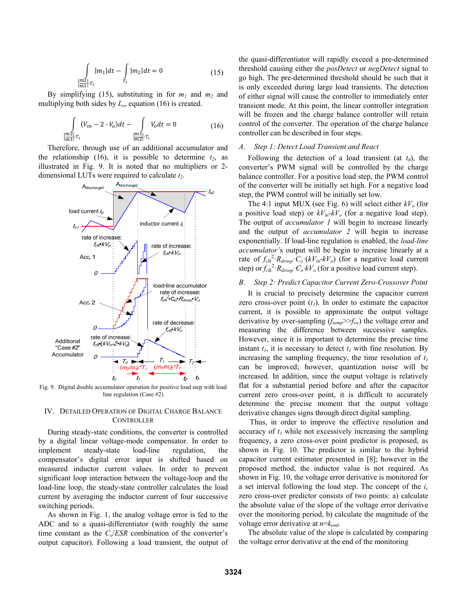$$
\int_{\frac{|m_2|}{m_1}|T_1} |m_1|dt - \int_{T_1} |m_2|dt = 0
$$
\n(15)

By simplifying (15), substituting in for  $m_1$  and  $m_2$  and multiplying both sides by *Lo*, equation (16) is created.

$$
\int_{\frac{m2}{m1}|T_1} (V_{in} - 2 \cdot V_o) dt - \int_{\frac{m1}{m2}|T_1} V_o dt = 0
$$
\n(16)

Therefore, through use of an additional accumulator and the relationship (16), it is possible to determine  $t_2$ , as illustrated in Fig. 9. It is noted that no multipliers or 2 dimensional LUTs were required to calculate *t2*.



Fig. 9. Digital double accumulator operation for positive load step with load line regulation (Case #2)

## IV. DETAILED OPERATION OF DIGITAL CHARGE BALANCE **CONTROLLER**

During steady-state conditions, the converter is controlled by a digital linear voltage-mode compensator. In order to implement steady-state load-line regulation, the compensator's digital error input is shifted based on measured inductor current values. In order to prevent significant loop interaction between the voltage-loop and the load-line loop, the steady-state controller calculates the load current by averaging the inductor current of four successive switching periods.

As shown in Fig. 1, the analog voltage error is fed to the ADC and to a quasi-differentiator (with roughly the same time constant as the *Co*/*ESR* combination of the converter's output capacitor). Following a load transient, the output of the quasi-differentiator will rapidly exceed a pre-determined threshold causing either the *posDetect* or *negDetect* signal to go high. The pre-determined threshold should be such that it is only exceeded during large load transients. The detection of either signal will cause the controller to immediately enter transient mode. At this point, the linear controller integration will be frozen and the charge balance controller will retain control of the converter. The operation of the charge balance controller can be described in four steps.

### *A. Step 1: Detect Load Transient and React*

Following the detection of a load transient (at  $t_0$ ), the converter's PWM signal will be controlled by the charge balance controller. For a positive load step, the PWM control of the converter will be initially set high. For a negative load step, the PWM control will be initially set low.

The 4:1 input MUX (see Fig. 6) will select either  $kV<sub>o</sub>$  (for a positive load step) or  $kV_{in}$ - $kV_o$  (for a negative load step). The output of *accumulator 1* will begin to increase linearly and the output of *accumulator 2* will begin to increase exponentially. If load-line regulation is enabled, the *load-line accumulator'*s output will be begin to increase linearly at a rate of  $f_{clk}^2$ <sup>2</sup>  $R_{drop}$   $C_o$  ( $kV_{in}$   $kV_o$ ) (for a negative load current step) or  $f_{\text{clk}}^2$   $R_{\text{drop}}$   $C_o$   $kV_o$  (for a positive load current step).

### *B. Step 2: Predict Capacitor Current Zero-Crossover Point*

It is crucial to precisely determine the capacitor current zero cross-over point  $(t<sub>l</sub>)$ . In order to estimate the capacitor current, it is possible to approximate the output voltage derivative by over-sampling (*fsamp*>>*fsw*) the voltage error and measuring the difference between successive samples. However, since it is important to determine the precise time instant  $t_1$ , it is necessary to detect  $t_1$  with fine resolution. By increasing the sampling frequency, the time resolution of  $t_1$ can be improved; however, quantization noise will be increased. In addition, since the output voltage is relatively flat for a substantial period before and after the capacitor current zero cross-over point, it is difficult to accurately determine the precise moment that the output voltage derivative changes signs through direct digital sampling.

 Thus, in order to improve the effective resolution and accuracy of  $t_1$  while not excessively increasing the sampling frequency, a zero cross-over point predictor is proposed, as shown in Fig. 10. The predictor is similar to the hybrid capacitor current estimator presented in [8]; however in the proposed method, the inductor value is not required. As shown in Fig. 10, the voltage error derivative is monitored for a set interval following the load step. The concept of the *ic* zero cross-over predictor consists of two points: a) calculate the absolute value of the slope of the voltage error derivative over the monitoring period, b) calculate the magnitude of the voltage error derivative at *n*=*kend*.

The absolute value of the slope is calculated by comparing the voltage error derivative at the end of the monitoring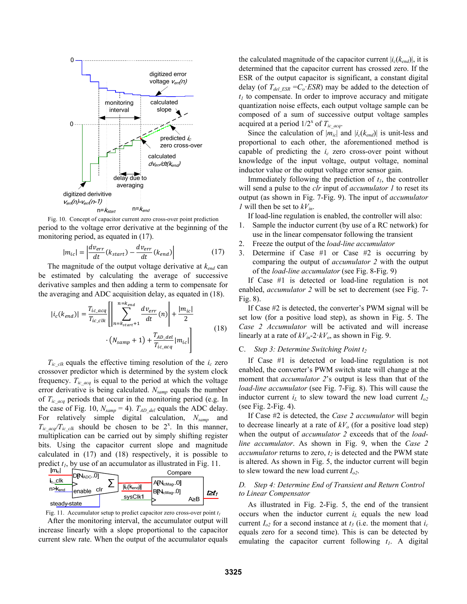

Fig. 10. Concept of capacitor current zero cross-over point prediction period to the voltage error derivative at the beginning of the monitoring period, as equated in (17).

$$
|m_{ic}| = \left| \frac{d v_{err}}{dt} (k_{start}) - \frac{d v_{err}}{dt} (k_{end}) \right|
$$
 (17)

The magnitude of the output voltage derivative at *kend* can be estimated by calculating the average of successive derivative samples and then adding a term to compensate for the averaging and ADC acquisition delay, as equated in (18).

$$
|i_c(k_{end})| = \frac{T_{ic\_acq}}{T_{ic\_clk}} \left[ \left| \sum_{n=k_{start}+1}^{n=k_{end}} \frac{d\nu_{err}}{dt}(n) \right| + \frac{|m_{ic}|}{2} \cdot (N_{samp} + 1) + \frac{T_{AD\_del}}{T_{ic\_acq}} |m_{ic}| \right]
$$
(18)

 $T_{ic\,clk}$  equals the effective timing resolution of the  $i_c$  zero crossover predictor which is determined by the system clock frequency.  $T_{ic\_{acq}}$  is equal to the period at which the voltage error derivative is being calculated. *Nsamp* equals the number of *Tic\_acq* periods that occur in the monitoring period (e.g. In the case of Fig. 10,  $N_{\text{ samp}} = 4$ ).  $T_{AD\text{ del}}$  equals the ADC delay. For relatively simple digital calculation, *Nsamp* and  $T_{ic\ acq}/T_{ic\ ck}$  should be chosen to be  $2^x$ . In this manner, multiplication can be carried out by simply shifting register bits. Using the capacitor current slope and magnitude calculated in (17) and (18) respectively, it is possible to predict  $t_1$ , by use of an accumulator as illustrated in Fig. 11.



Fig. 11. Accumulator setup to predict capacitor zero cross-over point  $t_1$ 

After the monitoring interval, the accumulator output will increase linearly with a slope proportional to the capacitor current slew rate. When the output of the accumulator equals the calculated magnitude of the capacitor current  $|i_c(k_{end})|$ , it is determined that the capacitor current has crossed zero. If the ESR of the output capacitor is significant, a constant digital delay (of  $T_{del\,ESR} = C_o$ ·*ESR*) may be added to the detection of  $t_1$  to compensate. In order to improve accuracy and mitigate quantization noise effects, each output voltage sample can be composed of a sum of successive output voltage samples acquired at a period  $1/2^x$  of  $T_{ic\,\,acq}$ .

Since the calculation of  $|m_{ic}|$  and  $|i_c(k_{end})|$  is unit-less and proportional to each other, the aforementioned method is capable of predicting the  $i_c$  zero cross-over point without knowledge of the input voltage, output voltage, nominal inductor value or the output voltage error sensor gain.

Immediately following the prediction of  $t_1$ , the controller will send a pulse to the *clr* input of *accumulator 1* to reset its output (as shown in Fig. 7-Fig. 9). The input of *accumulator 1* will then be set to  $kV_{in}$ .

If load-line regulation is enabled, the controller will also:

- 1. Sample the inductor current (by use of a RC network) for use in the linear compensator following the transient
- 2. Freeze the output of the *load-line accumulator*
- 3. Determine if Case #1 or Case #2 is occurring by comparing the output of *accumulator 2* with the output of the *load-line accumulator* (see Fig. 8-Fig. 9)

If Case #1 is detected or load-line regulation is not enabled, *accumulator 2* will be set to decrement (see Fig. 7- Fig. 8).

If Case #2 is detected, the converter's PWM signal will be set low (for a positive load step), as shown in Fig. 5. The *Case 2 Accumulator* will be activated and will increase linearly at a rate of  $kV_{in}$ -2  $kV_o$ , as shown in Fig. 9.

#### C. *Step 3: Determine Switching Point t<sub>2</sub>*

If Case #1 is detected or load-line regulation is not enabled, the converter's PWM switch state will change at the moment that *accumulator 2*'s output is less than that of the *load-line accumulator* (see Fig. 7-Fig. 8). This will cause the inductor current  $i_L$  to slew toward the new load current  $I_{o2}$ (see Fig. 2-Fig. 4).

If Case #2 is detected, the *Case 2 accumulator* will begin to decrease linearly at a rate of  $kV<sub>o</sub>$  (for a positive load step) when the output of *accumulator 2* exceeds that of the *loadline accumulator*. As shown in Fig. 9, when the *Case 2 accumulator* returns to zero,  $t_2$  is detected and the PWM state is altered. As shown in Fig. 5, the inductor current will begin to slew toward the new load current  $I_{o2}$ .

#### *D. Step 4: Determine End of Transient and Return Control to Linear Compensator*

As illustrated in Fig. 2-Fig. 5, the end of the transient occurs when the inductor current *iL* equals the new load current  $I_{o2}$  for a second instance at  $t_3$  (i.e. the moment that  $i_c$ equals zero for a second time). This is can be detected by emulating the capacitor current following  $t_1$ . A digital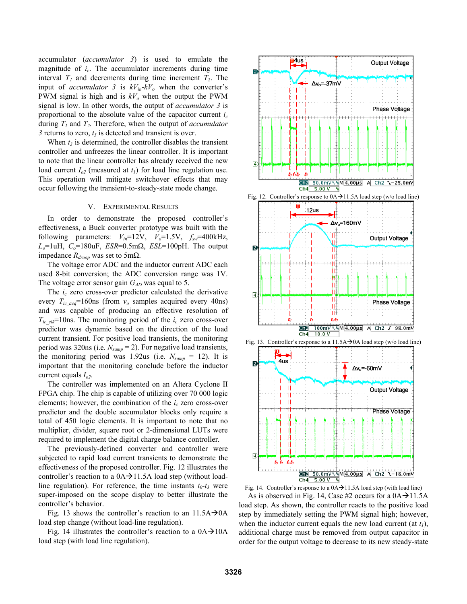accumulator (*accumulator 3*) is used to emulate the magnitude of *ic*. The accumulator increments during time interval  $T_1$  and decrements during time increment  $T_2$ . The input of *accumulator* 3 is  $kV_{in}$ - $kV_o$  when the converter's PWM signal is high and is  $kV<sub>o</sub>$  when the output the PWM signal is low. In other words, the output of *accumulator 3* is proportional to the absolute value of the capacitor current  $i_c$ during  $T_1$  and  $T_2$ . Therefore, when the output of *accumulator*  $3$  returns to zero,  $t_3$  is detected and transient is over.

When  $t_3$  is determined, the controller disables the transient controller and unfreezes the linear controller. It is important to note that the linear controller has already received the new load current  $I_{o2}$  (measured at  $t_1$ ) for load line regulation use. This operation will mitigate switchover effects that may occur following the transient-to-steady-state mode change.

## V. EXPERIMENTAL RESULTS

In order to demonstrate the proposed controller's effectiveness, a Buck converter prototype was built with the following parameters:  $V_{in}$ =12V,  $V_o$ =1.5V,  $f_{sw}$ =400kHz,  $L<sub>o</sub>=1uH$ ,  $C<sub>o</sub>=180uF$ ,  $ESR=0.5m\Omega$ ,  $ESL=100pH$ . The output impedance  $R_{drop}$  was set to 5mΩ.

The voltage error ADC and the inductor current ADC each used 8-bit conversion; the ADC conversion range was 1V. The voltage error sensor gain  $G_{AD}$  was equal to 5.

The  $i_c$  zero cross-over predictor calculated the derivative every  $T_{ic\text{ }acq}$ =160ns (from  $v_o$  samples acquired every 40ns) and was capable of producing an effective resolution of  $T_{ic\,clk}$ =10ns. The monitoring period of the  $i_c$  zero cross-over predictor was dynamic based on the direction of the load current transient. For positive load transients, the monitoring period was 320ns (i.e. *Nsamp* = 2). For negative load transients, the monitoring period was 1.92us (i.e.  $N_{\text{ samp}} = 12$ ). It is important that the monitoring conclude before the inductor current equals *Io2*.

The controller was implemented on an Altera Cyclone II FPGA chip. The chip is capable of utilizing over 70 000 logic elements; however, the combination of the  $i_c$  zero cross-over predictor and the double accumulator blocks only require a total of 450 logic elements. It is important to note that no multiplier, divider, square root or 2-dimensional LUTs were required to implement the digital charge balance controller.

The previously-defined converter and controller were subjected to rapid load current transients to demonstrate the effectiveness of the proposed controller. Fig. 12 illustrates the controller's reaction to a  $0A \rightarrow 11.5A$  load step (without loadline regulation). For reference, the time instants  $t_0-t_3$  were super-imposed on the scope display to better illustrate the controller's behavior.

Fig. 13 shows the controller's reaction to an  $11.5A \rightarrow 0A$ load step change (without load-line regulation).

Fig. 14 illustrates the controller's reaction to a  $0A \rightarrow 10A$ load step (with load line regulation).



Fig. 14. Controller's response to a  $0A \rightarrow 11.5A$  load step (with load line)

As is observed in Fig. 14, Case #2 occurs for a  $0A \rightarrow 11.5A$ load step. As shown, the controller reacts to the positive load step by immediately setting the PWM signal high; however, when the inductor current equals the new load current (at  $t_1$ ), additional charge must be removed from output capacitor in order for the output voltage to decrease to its new steady-state